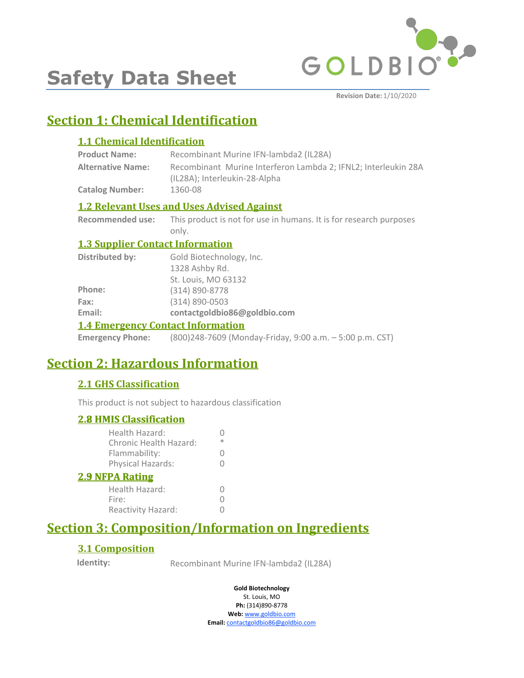

**Safety Data Sheet**

**Revision Date:** 1/10/2020

# **Section 1: Chemical Identification**

### **1.1 Chemical Identification**

| <b>Product Name:</b>     | Recombinant Murine IFN-lambda2 (IL28A)                                                          |
|--------------------------|-------------------------------------------------------------------------------------------------|
| <b>Alternative Name:</b> | Recombinant Murine Interferon Lambda 2: IFNL2: Interleukin 28A<br>(IL28A); Interleukin-28-Alpha |
| <b>Catalog Number:</b>   | 1360-08                                                                                         |

### **1.2 Relevant Uses and Uses Advised Against**

**Recommended use:** This product is not for use in humans. It is for research purposes only.

### **1.3 Supplier Contact Information**

| $\bf{A}$ $\bf{A}$ . The concentration of $\bf{C}$ is the contract $\bf{L}$ of $\bf{C}$ is the contract of $\bf{L}$ |                              |  |
|--------------------------------------------------------------------------------------------------------------------|------------------------------|--|
| Email:                                                                                                             | contactgoldbio86@goldbio.com |  |
| Fax:                                                                                                               | (314) 890-0503               |  |
| Phone:                                                                                                             | (314) 890-8778               |  |
|                                                                                                                    | St. Louis, MO 63132          |  |
|                                                                                                                    | 1328 Ashby Rd.               |  |
| Distributed by:                                                                                                    | Gold Biotechnology, Inc.     |  |

### **1.4 Emergency Contact Information**

**Emergency Phone:** (800)248-7609 (Monday-Friday, 9:00 a.m. – 5:00 p.m. CST)

# **Section 2: Hazardous Information**

### **2.1 GHS Classification**

This product is not subject to hazardous classification

| <b>2.8 HMIS Classification</b>           |          |
|------------------------------------------|----------|
| Health Hazard:<br>Chronic Health Hazard: | ж        |
| Flammability:                            |          |
| Physical Hazards:                        | $^{(1)}$ |
| <b>2.9 NFPA Rating</b>                   |          |
| Health Hazard:                           |          |
| Fire:                                    |          |
| Reactivity Hazard:                       |          |

# **Section 3: Composition/Information on Ingredients**

### **3.1 Composition**

**Identity:** Recombinant Murine IFN-lambda2 (IL28A)

**Gold Biotechnology**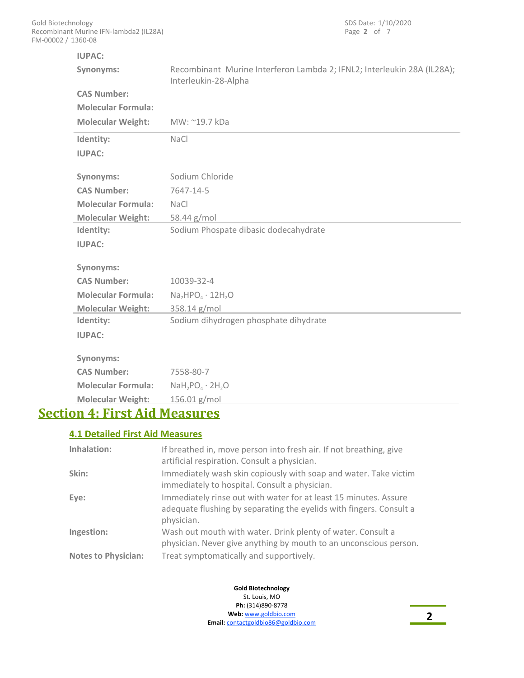| <b>IUPAC:</b>                          |                                                                                                 |
|----------------------------------------|-------------------------------------------------------------------------------------------------|
| Synonyms:                              | Recombinant Murine Interferon Lambda 2; IFNL2; Interleukin 28A (IL28A);<br>Interleukin-28-Alpha |
| <b>CAS Number:</b>                     |                                                                                                 |
| <b>Molecular Formula:</b>              |                                                                                                 |
| <b>Molecular Weight:</b>               | MW: ~19.7 kDa                                                                                   |
| Identity:                              | NaCl                                                                                            |
| <b>IUPAC:</b>                          |                                                                                                 |
| Synonyms:                              | Sodium Chloride                                                                                 |
| <b>CAS Number:</b>                     | 7647-14-5                                                                                       |
| <b>Molecular Formula:</b>              | <b>NaCl</b>                                                                                     |
| <b>Molecular Weight:</b>               | 58.44 g/mol                                                                                     |
| Identity:                              | Sodium Phospate dibasic dodecahydrate                                                           |
| <b>IUPAC:</b>                          |                                                                                                 |
| Synonyms:                              |                                                                                                 |
| <b>CAS Number:</b>                     | 10039-32-4                                                                                      |
| <b>Molecular Formula:</b>              | $Na2HPO4 \cdot 12H2O$                                                                           |
| <b>Molecular Weight:</b>               | 358.14 g/mol                                                                                    |
| Identity:                              | Sodium dihydrogen phosphate dihydrate                                                           |
| <b>IUPAC:</b>                          |                                                                                                 |
| Synonyms:                              |                                                                                                 |
| <b>CAS Number:</b>                     | 7558-80-7                                                                                       |
| <b>Molecular Formula:</b>              | $NaH_2PO_4 \cdot 2H_2O$                                                                         |
| <b>Molecular Weight:</b>               | 156.01 g/mol                                                                                    |
| <b>Section 4: First Aid Measures</b>   |                                                                                                 |
| <b>4.1 Detailed First Aid Measures</b> |                                                                                                 |
| Inhalation:                            | If breathed in, move person into fresh air. If not breathing, give                              |

| iiiiididuon.               | Tribreathed in, move person into fresh air. If not breathing, give<br>artificial respiration. Consult a physician.                                    |
|----------------------------|-------------------------------------------------------------------------------------------------------------------------------------------------------|
| Skin:                      | Immediately wash skin copiously with soap and water. Take victim<br>immediately to hospital. Consult a physician.                                     |
| Eye:                       | Immediately rinse out with water for at least 15 minutes. Assure<br>adequate flushing by separating the eyelids with fingers. Consult a<br>physician. |
| Ingestion:                 | Wash out mouth with water. Drink plenty of water. Consult a<br>physician. Never give anything by mouth to an unconscious person.                      |
| <b>Notes to Physician:</b> | Treat symptomatically and supportively.                                                                                                               |
|                            |                                                                                                                                                       |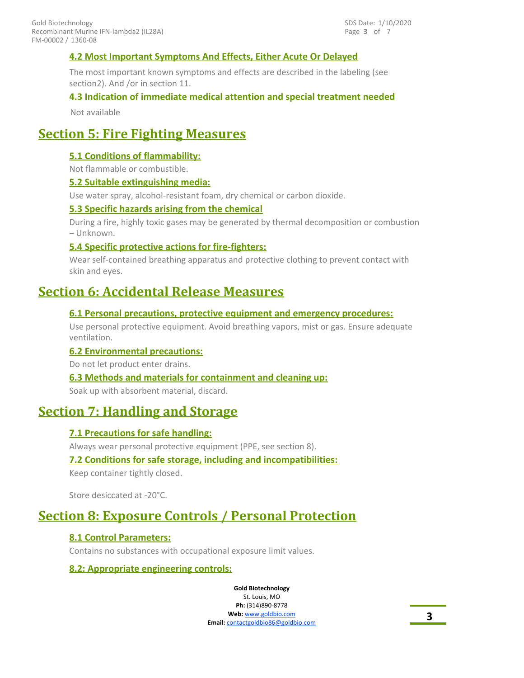### **4.2 Most Important Symptoms And Effects, Either Acute Or Delayed**

The most important known symptoms and effects are described in the labeling (see section2). And /or in section 11.

### **4.3 Indication of immediate medical attention and special treatment needed**

Not available

### **Section 5: Fire Fighting Measures**

### **5.1 Conditions of flammability:**

Not flammable or combustible.

### **5.2 Suitable extinguishing media:**

Use water spray, alcohol-resistant foam, dry chemical or carbon dioxide.

### **5.3 Specific hazards arising from the chemical**

During a fire, highly toxic gases may be generated by thermal decomposition or combustion – Unknown.

### **5.4 Specific protective actions for fire-fighters:**

Wear self-contained breathing apparatus and protective clothing to prevent contact with skin and eyes.

### **Section 6: Accidental Release Measures**

### **6.1 Personal precautions, protective equipment and emergency procedures:**

Use personal protective equipment. Avoid breathing vapors, mist or gas. Ensure adequate ventilation.

### **6.2 Environmental precautions:**

Do not let product enter drains.

### **6.3 Methods and materials for containment and cleaning up:**

Soak up with absorbent material, discard.

### **Section 7: Handling and Storage**

### **7.1 Precautions for safe handling:**

Always wear personal protective equipment (PPE, see section 8).

### **7.2 Conditions for safe storage, including and incompatibilities:**

Keep container tightly closed.

Store desiccated at -20°C.

# **Section 8: Exposure Controls / Personal Protection**

### **8.1 Control Parameters:**

Contains no substances with occupational exposure limit values.

### **8.2: Appropriate engineering controls:**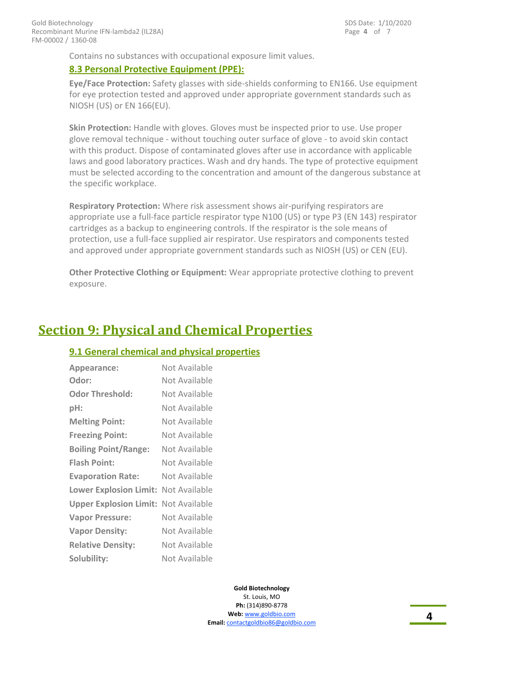Contains no substances with occupational exposure limit values.

### **8.3 Personal Protective Equipment (PPE):**

**Eye/Face Protection:** Safety glasses with side-shields conforming to EN166. Use equipment for eye protection tested and approved under appropriate government standards such as NIOSH (US) or EN 166(EU).

**Skin Protection:** Handle with gloves. Gloves must be inspected prior to use. Use proper glove removal technique - without touching outer surface of glove - to avoid skin contact with this product. Dispose of contaminated gloves after use in accordance with applicable laws and good laboratory practices. Wash and dry hands. The type of protective equipment must be selected according to the concentration and amount of the dangerous substance at the specific workplace.

**Respiratory Protection:** Where risk assessment shows air-purifying respirators are appropriate use a full-face particle respirator type N100 (US) or type P3 (EN 143) respirator cartridges as a backup to engineering controls. If the respirator is the sole means of protection, use a full-face supplied air respirator. Use respirators and components tested and approved under appropriate government standards such as NIOSH (US) or CEN (EU).

**Other Protective Clothing or Equipment:** Wear appropriate protective clothing to prevent exposure.

### **Section 9: Physical and Chemical Properties**

### **9.1 General chemical and physical properties**

| Appearance:                   | Not Available |
|-------------------------------|---------------|
| Odor:                         | Not Available |
| <b>Odor Threshold:</b>        | Not Available |
| pH:                           | Not Available |
| <b>Melting Point:</b>         | Not Available |
| <b>Freezing Point:</b>        | Not Available |
| <b>Boiling Point/Range:</b>   | Not Available |
| <b>Flash Point:</b>           | Not Available |
| <b>Evaporation Rate:</b>      | Not Available |
| <b>Lower Explosion Limit:</b> | Not Available |
| <b>Upper Explosion Limit:</b> | Not Available |
| <b>Vapor Pressure:</b>        | Not Available |
| <b>Vapor Density:</b>         | Not Available |
| <b>Relative Density:</b>      | Not Available |
| Solubility:                   | Not Available |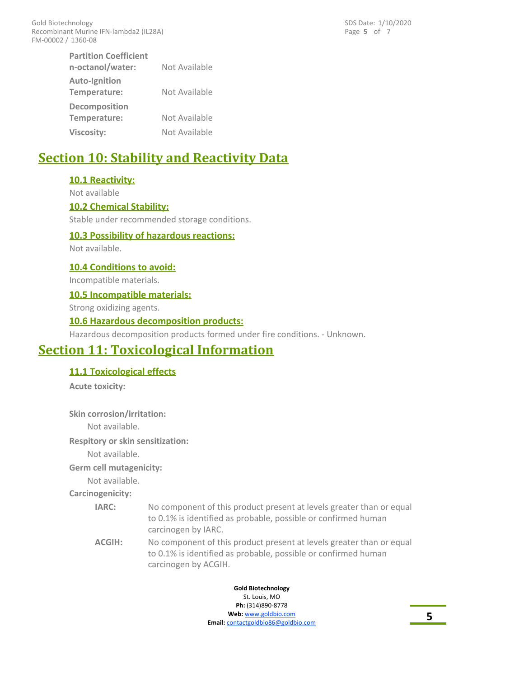Page **5** of 7 SDS Date: 1/10/2020

| <b>Partition Coefficient</b> |               |
|------------------------------|---------------|
| n-octanol/water:             | Not Available |
| Auto-Ignition                |               |
| Temperature:                 | Not Available |
| <b>Decomposition</b>         |               |
| Temperature:                 | Not Available |
| <b>Viscosity:</b>            | Not Available |

# **Section 10: Stability and Reactivity Data**

### **10.1 Reactivity:**

Not available

#### **10.2 Chemical Stability:**

Stable under recommended storage conditions.

### **10.3 Possibility of hazardous reactions:**

Not available.

#### **10.4 Conditions to avoid:**

Incompatible materials.

### **10.5 Incompatible materials:**

Strong oxidizing agents.

### **10.6 Hazardous decomposition products:**

Hazardous decomposition products formed under fire conditions. - Unknown.

### **Section 11: Toxicological Information**

### **11.1 Toxicological effects**

**Acute toxicity:**

**Skin corrosion/irritation:**

Not available.

**Respitory or skin sensitization:**

Not available.

#### **Germ cell mutagenicity:**

Not available.

**Carcinogenicity:**

- No component of this product present at levels greater than or equal to 0.1% is identified as probable, possible or confirmed human carcinogen by IARC. **IARC:**
- No component of this product present at levels greater than or equal to 0.1% is identified as probable, possible or confirmed human carcinogen by ACGIH. **ACGIH:**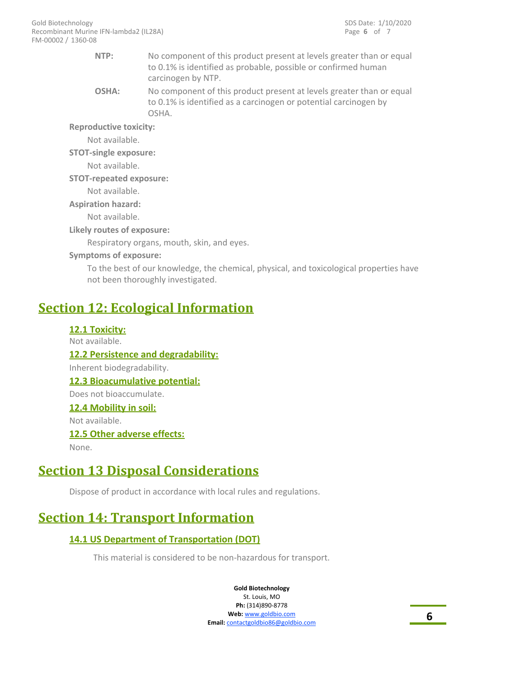- No component of this product present at levels greater than or equal to 0.1% is identified as probable, possible or confirmed human carcinogen by NTP. **NTP:**
- No component of this product present at levels greater than or equal to 0.1% is identified as a carcinogen or potential carcinogen by OSHA. **OSHA:**

**Reproductive toxicity:**

Not available.

**STOT-single exposure:**

Not available.

#### **STOT-repeated exposure:**

Not available.

### **Aspiration hazard:**

Not available.

### **Likely routes of exposure:**

Respiratory organs, mouth, skin, and eyes.

### **Symptoms of exposure:**

To the best of our knowledge, the chemical, physical, and toxicological properties have not been thoroughly investigated.

# **Section 12: Ecological Information**

**12.1 Toxicity:** Not available. **12.2 Persistence and degradability:** Inherent biodegradability. **12.3 Bioacumulative potential:** Does not bioaccumulate. **12.4 Mobility in soil:** Not available. **12.5 Other adverse effects:** None.

# **Section 13 Disposal Considerations**

Dispose of product in accordance with local rules and regulations.

# **Section 14: Transport Information**

### **14.1 US Department of Transportation (DOT)**

This material is considered to be non-hazardous for transport.

**Gold Biotechnology** St. Louis, MO

**Ph:** (314)890-8778 **Web:** www.goldbio.com **Email:** contactgoldbio86@goldbio.com